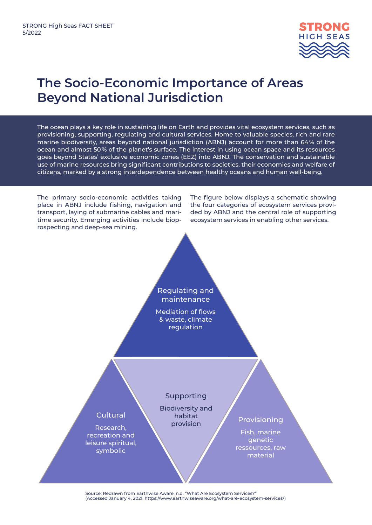

## **The Socio-Economic Importance of Areas Beyond National Jurisdiction**

The ocean plays a key role in sustaining life on Earth and provides vital ecosystem services, such as provisioning, supporting, regulating and cultural services. Home to valuable species, rich and rare marine biodiversity, areas beyond national jurisdiction (ABNJ) account for more than 64 % of the ocean and almost 50 % of the planet's surface. The interest in using ocean space and its resources goes beyond States' exclusive economic zones (EEZ) into ABNJ. The conservation and sustainable use of marine resources bring significant contributions to societies, their economies and welfare of citizens, marked by a strong interdependence between healthy oceans and human well-being.



Source: Redrawn from Earthwise Aware. n.d. "What Are Ecosystem Services?" (Accessed January 4, 2021. https://www.earthwiseaware.org/what-are-ecosystem-services/)